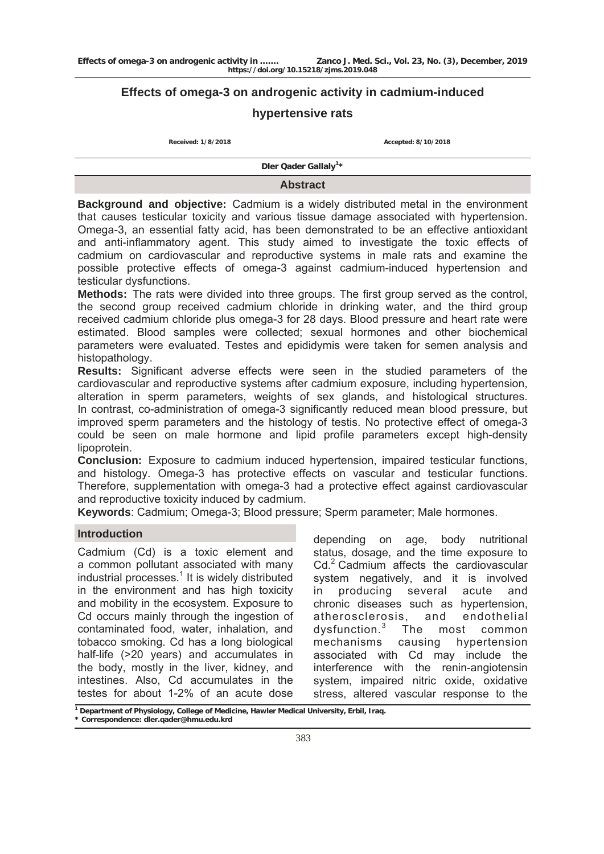# **Effects of omega-3 on androgenic activity in cadmium-induced**

# **hypertensive rats**

**Received: 1/8/2018 Accepted: 8/10/2018**

**Dler Qader Gallaly<sup>1</sup> \***

### **Abstract**

**Background and objective:** Cadmium is a widely distributed metal in the environment that causes testicular toxicity and various tissue damage associated with hypertension. Omega-3, an essential fatty acid, has been demonstrated to be an effective antioxidant and anti-inflammatory agent. This study aimed to investigate the toxic effects of cadmium on cardiovascular and reproductive systems in male rats and examine the possible protective effects of omega-3 against cadmium-induced hypertension and testicular dysfunctions.

**Methods:** The rats were divided into three groups. The first group served as the control, the second group received cadmium chloride in drinking water, and the third group received cadmium chloride plus omega-3 for 28 days. Blood pressure and heart rate were estimated. Blood samples were collected; sexual hormones and other biochemical parameters were evaluated. Testes and epididymis were taken for semen analysis and histopathology.

**Results:** Significant adverse effects were seen in the studied parameters of the cardiovascular and reproductive systems after cadmium exposure, including hypertension, alteration in sperm parameters, weights of sex glands, and histological structures. In contrast, co-administration of omega-3 significantly reduced mean blood pressure, but improved sperm parameters and the histology of testis. No protective effect of omega-3 could be seen on male hormone and lipid profile parameters except high-density lipoprotein.

**Conclusion:** Exposure to cadmium induced hypertension, impaired testicular functions, and histology. Omega-3 has protective effects on vascular and testicular functions. Therefore, supplementation with omega-3 had a protective effect against cardiovascular and reproductive toxicity induced by cadmium.

**Keywords**: Cadmium; Omega-3; Blood pressure; Sperm parameter; Male hormones.

# **Introduction**

Cadmium (Cd) is a toxic element and a common pollutant associated with many industrial processes.<sup>1</sup> It is widely distributed in the environment and has high toxicity and mobility in the ecosystem. Exposure to Cd occurs mainly through the ingestion of contaminated food, water, inhalation, and tobacco smoking. Cd has a long biological half-life (>20 years) and accumulates in the body, mostly in the liver, kidney, and intestines. Also, Cd accumulates in the testes for about 1-2% of an acute dose

depending on age, body nutritional status, dosage, and the time exposure to Cd.<sup>2</sup> Cadmium affects the cardiovascular system negatively, and it is involved in producing several acute and chronic diseases such as hypertension, atherosclerosis, and endothelial dysfunction.<sup>3</sup> The most common mechanisms causing hypertension associated with Cd may include the interference with the renin-angiotensin system, impaired nitric oxide, oxidative stress, altered vascular response to the

**<sup>1</sup> Department of Physiology, College of Medicine, Hawler Medical University, Erbil, Iraq.** 

**<sup>\*</sup> Correspondence: [dler.qader@hmu.edu.krd](mailto:dler.qader@med.hmu.edu.krd)**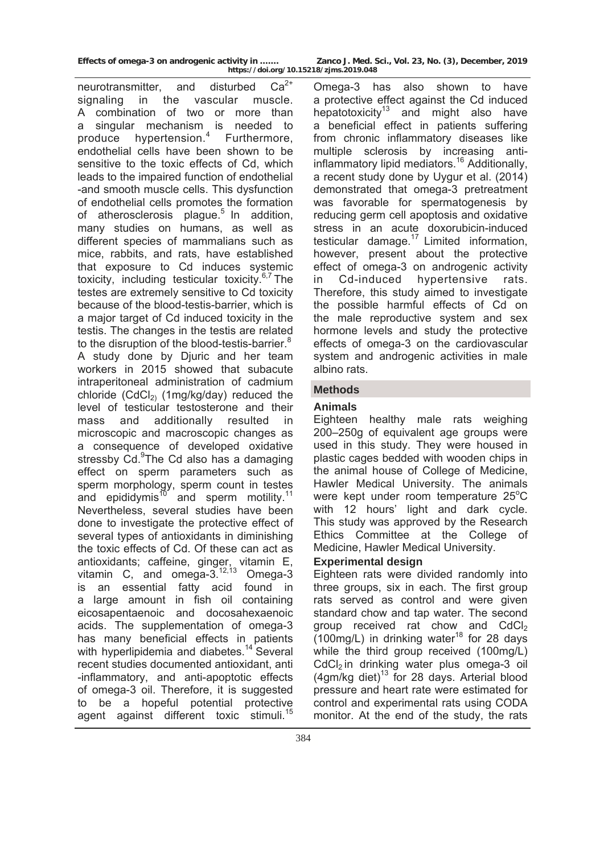neurotransmitter, and disturbed  $Ca^{2+}$ signaling in the vascular muscle. A combination of two or more than a singular mechanism is needed to produce hypertension.<sup>4</sup> Furthermore, endothelial cells have been shown to be sensitive to the toxic effects of Cd, which leads to the impaired function of endothelial -and smooth muscle cells. This dysfunction of endothelial cells promotes the formation of atherosclerosis plague. $5$  In addition, many studies on humans, as well as different species of mammalians such as mice, rabbits, and rats, have established that exposure to Cd induces systemic toxicity, including testicular toxicity. $6,7$  The testes are extremely sensitive to Cd toxicity because of the blood-testis-barrier, which is a major target of Cd induced toxicity in the testis. The changes in the testis are related to the disruption of the blood-testis-barrier.<sup>8</sup> A study done by Djuric and her team workers in 2015 showed that subacute intraperitoneal administration of cadmium chloride  $(CdCl<sub>2</sub>)$  (1mg/kg/day) reduced the level of testicular testosterone and their mass and additionally resulted in microscopic and macroscopic changes as a consequence of developed oxidative stressby Cd.<sup>9</sup>The Cd also has a damaging effect on sperm parameters such as sperm morphology, sperm count in testes and epididymis<sup>10</sup> and sperm motility.<sup>11</sup> Nevertheless, several studies have been done to investigate the protective effect of several types of antioxidants in diminishing the toxic effects of Cd. Of these can act as antioxidants; caffeine, ginger, vitamin E, vitamin C, and omega- $3^{12,13}$  Omega- $3$ is an essential fatty acid found in a large amount in fish oil containing eicosapentaenoic and docosahexaenoic acids. The supplementation of omega-3 has many beneficial effects in patients with hyperlipidemia and diabetes.<sup>14</sup> Several recent studies documented antioxidant, anti -inflammatory, and anti-apoptotic effects of omega-3 oil. Therefore, it is suggested to be a hopeful potential protective agent against different toxic stimuli.15

Omega-3 has also shown to have a protective effect against the Cd induced hepatotoxicity<sup>13</sup> and might also have a beneficial effect in patients suffering from chronic inflammatory diseases like multiple sclerosis by increasing antiinflammatory lipid mediators.16 Additionally, a recent study done by Uygur et al. (2014) demonstrated that omega-3 pretreatment was favorable for spermatogenesis by reducing germ cell apoptosis and oxidative stress in an acute doxorubicin-induced testicular damage.<sup>17</sup> Limited information, however, present about the protective effect of omega-3 on androgenic activity in Cd-induced hypertensive rats. Therefore, this study aimed to investigate the possible harmful effects of Cd on the male reproductive system and sex hormone levels and study the protective effects of omega-3 on the cardiovascular system and androgenic activities in male albino rats.

# **Methods**

# **Animals**

Eighteen healthy male rats weighing 200–250g of equivalent age groups were used in this study. They were housed in plastic cages bedded with wooden chips in the animal house of College of Medicine, Hawler Medical University. The animals were kept under room temperature 25°C with 12 hours' light and dark cycle. This study was approved by the Research Ethics Committee at the College of Medicine, Hawler Medical University.

### **Experimental design**

Eighteen rats were divided randomly into three groups, six in each. The first group rats served as control and were given standard chow and tap water. The second group received rat chow and CdCl<sub>2</sub>  $(100 \text{mg/L})$  in drinking water<sup>18</sup> for 28 days while the third group received (100mg/L)  $CdCl<sub>2</sub>$  in drinking water plus omega-3 oil  $(4$ am/kg diet)<sup>13</sup> for 28 days. Arterial blood pressure and heart rate were estimated for control and experimental rats using CODA monitor. At the end of the study, the rats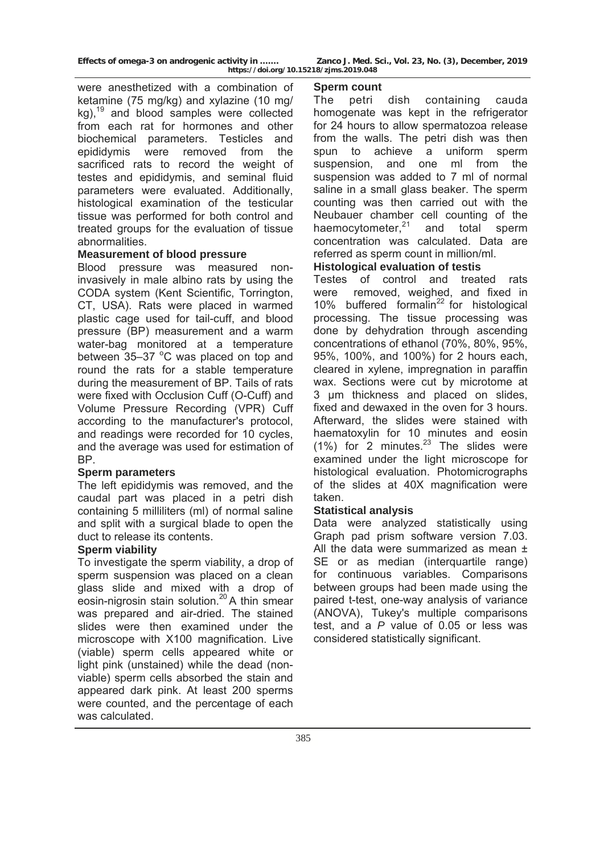were anesthetized with a combination of ketamine (75 mg/kg) and xylazine (10 mg/  $kg$ ),<sup>19</sup> and blood samples were collected from each rat for hormones and other biochemical parameters. Testicles and epididymis were removed from the sacrificed rats to record the weight of testes and epididymis, and seminal fluid parameters were evaluated. Additionally, histological examination of the testicular tissue was performed for both control and treated groups for the evaluation of tissue abnormalities.

# **Measurement of blood pressure**

Blood pressure was measured noninvasively in male albino rats by using the CODA system (Kent Scientific, Torrington, CT, USA). Rats were placed in warmed plastic cage used for tail-cuff, and blood pressure (BP) measurement and a warm water-bag monitored at a temperature between 35-37 °C was placed on top and round the rats for a stable temperature during the measurement of BP. Tails of rats were fixed with Occlusion Cuff (O-Cuff) and Volume Pressure Recording (VPR) Cuff according to the manufacturer's protocol, and readings were recorded for 10 cycles, and the average was used for estimation of BP.

## **Sperm parameters**

The left epididymis was removed, and the caudal part was placed in a petri dish containing 5 milliliters (ml) of normal saline and split with a surgical blade to open the duct to release its contents.

## **Sperm viability**

To investigate the sperm viability, a drop of sperm suspension was placed on a clean glass slide and mixed with a drop of eosin-nigrosin stain solution.20 A thin smear was prepared and air-dried. The stained slides were then examined under the microscope with X100 magnification. Live (viable) sperm cells appeared white or light pink (unstained) while the dead (nonviable) sperm cells absorbed the stain and appeared dark pink. At least 200 sperms were counted, and the percentage of each was calculated.

#### **Sperm count**

The petri dish containing cauda homogenate was kept in the refrigerator for 24 hours to allow spermatozoa release from the walls. The petri dish was then spun to achieve a uniform sperm suspension, and one ml from the suspension was added to 7 ml of normal saline in a small glass beaker. The sperm counting was then carried out with the Neubauer chamber cell counting of the haemocytometer, $21$  and total sperm concentration was calculated. Data are referred as sperm count in million/ml.

# **Histological evaluation of testis**

Testes of control and treated rats were removed, weighed, and fixed in 10% buffered formalin<sup>22</sup> for histological processing. The tissue processing was done by dehydration through ascending concentrations of ethanol (70%, 80%, 95%, 95%, 100%, and 100%) for 2 hours each, cleared in xylene, impregnation in paraffin wax. Sections were cut by microtome at 3 μm thickness and placed on slides, fixed and dewaxed in the oven for 3 hours. Afterward, the slides were stained with haematoxylin for 10 minutes and eosin  $(1\%)$  for 2 minutes.<sup>23</sup> The slides were examined under the light microscope for histological evaluation. Photomicrographs of the slides at 40X magnification were taken.

### **Statistical analysis**

Data were analyzed statistically using Graph pad prism software version 7.03. All the data were summarized as mean  $\pm$ SE or as median (interquartile range) for continuous variables. Comparisons between groups had been made using the paired t-test, one-way analysis of variance (ANOVA), Tukey's multiple comparisons test, and a *P* value of 0.05 or less was considered statistically significant.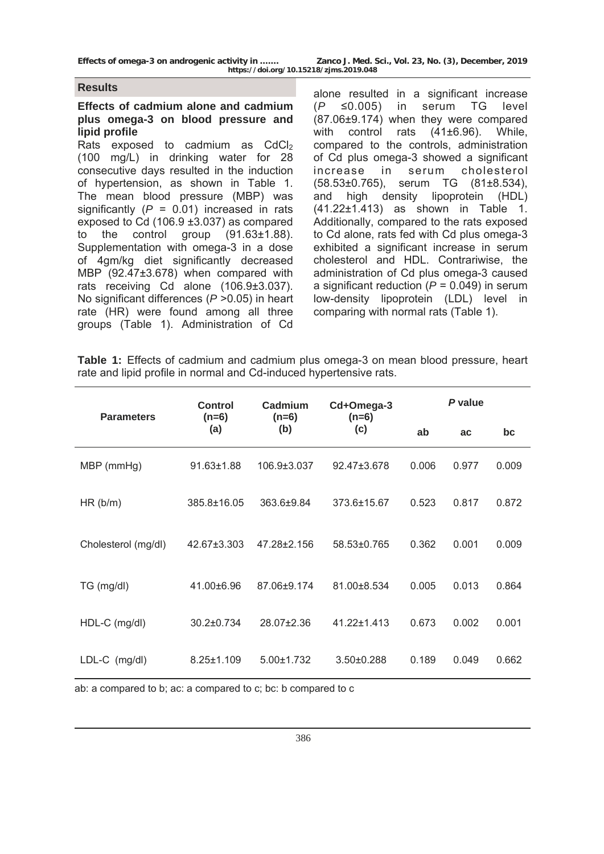#### **Results**

### **Effects of cadmium alone and cadmium plus omega-3 on blood pressure and lipid profile**

Rats exposed to cadmium as  $CdCl<sub>2</sub>$ (100 mg/L) in drinking water for 28 consecutive days resulted in the induction of hypertension, as shown in Table 1. The mean blood pressure (MBP) was significantly (*P* = 0.01) increased in rats exposed to Cd (106.9 ±3.037) as compared to the control group (91.63±1.88). Supplementation with omega-3 in a dose of 4gm/kg diet significantly decreased MBP (92.47±3.678) when compared with rats receiving Cd alone (106.9±3.037). No significant differences (*P* >0.05) in heart rate (HR) were found among all three groups (Table 1). Administration of Cd

alone resulted in a significant increase (*P* ≤0.005) in serum TG level (87.06±9.174) when they were compared with control rats (41±6.96). While, compared to the controls, administration of Cd plus omega-3 showed a significant increase in serum cholesterol (58.53±0.765), serum TG (81±8.534), and high density lipoprotein (HDL) (41.22±1.413) as shown in Table 1. Additionally, compared to the rats exposed to Cd alone, rats fed with Cd plus omega-3 exhibited a significant increase in serum cholesterol and HDL. Contrariwise, the administration of Cd plus omega-3 caused a significant reduction (*P* = 0.049) in serum low-density lipoprotein (LDL) level in comparing with normal rats (Table 1).

**Table 1:** Effects of cadmium and cadmium plus omega-3 on mean blood pressure, heart rate and lipid profile in normal and Cd-induced hypertensive rats.

| <b>Parameters</b>   | Control<br>$(n=6)$ | Cadmium<br>$(n=6)$ | Cd+Omega-3<br>$(n=6)$ | P value |       |       |  |
|---------------------|--------------------|--------------------|-----------------------|---------|-------|-------|--|
|                     | (a)                | (b)                | (c)                   | ab      | ac    | bc    |  |
| MBP (mmHg)          | $91.63 \pm 1.88$   | 106.9±3.037        | 92.47±3.678           | 0.006   | 0.977 | 0.009 |  |
| HR(b/m)             | 385.8±16.05        | 363.6±9.84         | 373.6±15.67           | 0.523   | 0.817 | 0.872 |  |
| Cholesterol (mg/dl) | 42.67±3.303        | 47.28±2.156        | 58.53±0.765           | 0.362   | 0.001 | 0.009 |  |
| TG (mg/dl)          | 41.00±6.96         | 87.06±9.174        | 81.00±8.534           | 0.005   | 0.013 | 0.864 |  |
| HDL-C (mg/dl)       | 30.2±0.734         | 28.07±2.36         | 41.22±1.413           | 0.673   | 0.002 | 0.001 |  |
| LDL-C (mg/dl)       | $8.25 \pm 1.109$   | $5.00 \pm 1.732$   | 3.50±0.288            | 0.189   | 0.049 | 0.662 |  |

ab: a compared to b; ac: a compared to c; bc: b compared to c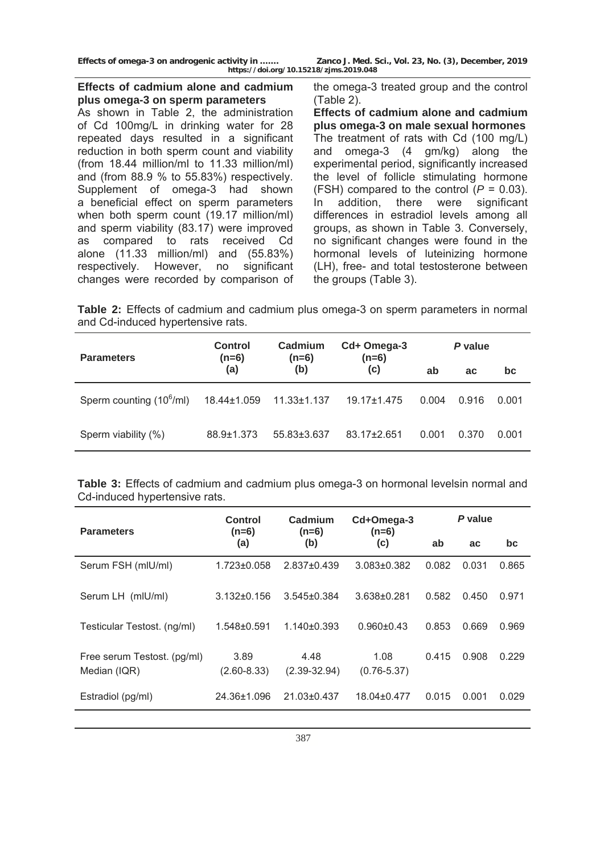# **Effects of cadmium alone and cadmium plus omega-3 on sperm parameters**

As shown in Table 2, the administration of Cd 100mg/L in drinking water for 28 repeated days resulted in a significant reduction in both sperm count and viability (from 18.44 million/ml to 11.33 million/ml) and (from 88.9 % to 55.83%) respectively. Supplement of omega-3 had shown a beneficial effect on sperm parameters when both sperm count (19.17 million/ml) and sperm viability (83.17) were improved as compared to rats received Cd alone (11.33 million/ml) and (55.83%) respectively. However, no significant changes were recorded by comparison of the omega-3 treated group and the control (Table 2).

**Effects of cadmium alone and cadmium plus omega-3 on male sexual hormones**  The treatment of rats with Cd (100 mg/L) and omega-3 (4 gm/kg) along the experimental period, significantly increased the level of follicle stimulating hormone (FSH) compared to the control  $(P = 0.03)$ . In addition, there were significant differences in estradiol levels among all groups, as shown in Table 3. Conversely, no significant changes were found in the hormonal levels of luteinizing hormone (LH), free- and total testosterone between the groups (Table 3).

**Table 2:** Effects of cadmium and cadmium plus omega-3 on sperm parameters in normal and Cd-induced hypertensive rats.

| <b>Parameters</b>                    | <b>Control</b><br>$(n=6)$ | Cadmium<br>$(n=6)$ | Cd+ Omega-3<br>$(n=6)$ | P value |           |       |
|--------------------------------------|---------------------------|--------------------|------------------------|---------|-----------|-------|
|                                      | (a)                       | (b)                | (c)                    | ab      | <b>ac</b> | bc    |
| Sperm counting (10 <sup>6</sup> /ml) | 18.44±1.059               | $11.33 \pm 1.137$  | $19.17 + 1.475$        | 0.004   | 0.916     | 0.001 |
| Sperm viability (%)                  | 88.9±1.373                | 55.83±3.637        | 83.17+2.651            | 0.001   | 0.370     | 0.001 |

**Table 3:** Effects of cadmium and cadmium plus omega-3 on hormonal levelsin normal and Cd-induced hypertensive rats.

| <b>Parameters</b>                           | Control<br>$(n=6)$      | Cadmium                  | Cd+Omega-3<br>$(n=6)$   | P value |           |       |
|---------------------------------------------|-------------------------|--------------------------|-------------------------|---------|-----------|-------|
|                                             | (a)                     | $(n=6)$<br>(b)           | (c)                     | ab      | <b>ac</b> | bc    |
| Serum FSH (mIU/mI)                          | $1.723 \pm 0.058$       | 2.837±0.439              | $3.083 \pm 0.382$       | 0.082   | 0.031     | 0.865 |
| Serum LH (mIU/mI)                           | $3.132 \pm 0.156$       | $3.545 \pm 0.384$        | $3.638 \pm 0.281$       | 0.582   | 0.450     | 0.971 |
| Testicular Testost. (ng/ml)                 | $1.548 + 0.591$         | $1.140 \pm 0.393$        | $0.960 + 0.43$          | 0.853   | 0.669     | 0.969 |
| Free serum Testost. (pg/ml)<br>Median (IQR) | 3.89<br>$(2.60 - 8.33)$ | 4.48<br>$(2.39 - 32.94)$ | 1.08<br>$(0.76 - 5.37)$ | 0.415   | 0.908     | 0.229 |
| Estradiol (pg/ml)                           | 24.36±1.096             | 21.03±0.437              | 18.04±0.477             | 0.015   | 0.001     | 0.029 |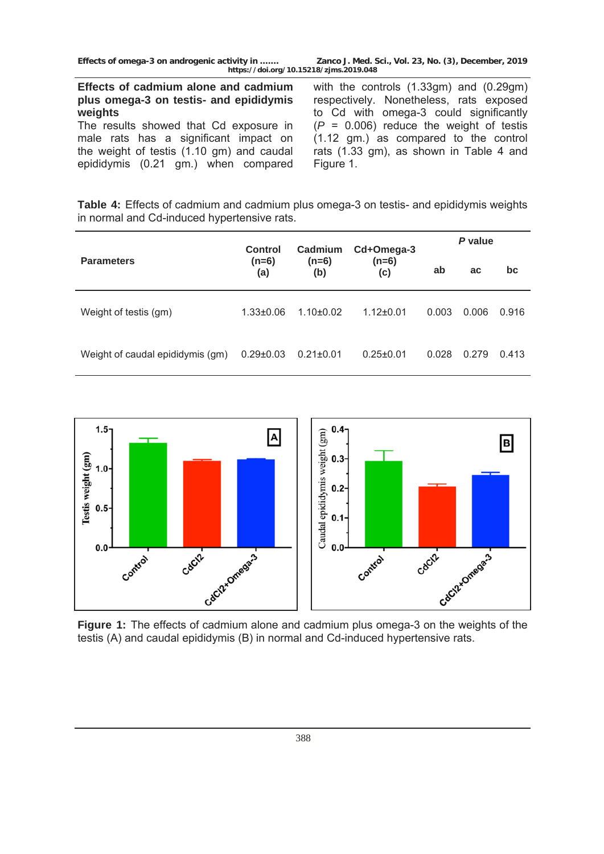**Effects of cadmium alone and cadmium plus omega-3 on testis- and epididymis weights** 

The results showed that Cd exposure in male rats has a significant impact on the weight of testis (1.10 gm) and caudal epididymis (0.21 gm.) when compared

with the controls (1.33gm) and (0.29gm) respectively. Nonetheless, rats exposed to Cd with omega-3 could significantly  $(P = 0.006)$  reduce the weight of testis (1.12 gm.) as compared to the control rats (1.33 gm), as shown in Table 4 and Figure 1.

**Table 4:** Effects of cadmium and cadmium plus omega-3 on testis- and epididymis weights in normal and Cd-induced hypertensive rats.

|                                  | Control         | Cadmium         | Cd+Omega-3      | P value |       |       |  |
|----------------------------------|-----------------|-----------------|-----------------|---------|-------|-------|--|
| <b>Parameters</b>                | $(n=6)$<br>(a)  | $(n=6)$<br>(b)  | $(n=6)$<br>(c)  | ab      | ac    | bc    |  |
| Weight of testis (gm)            | $1.33 \pm 0.06$ | $1.10 + 0.02$   | $1.12 \pm 0.01$ | 0.003   | 0.006 | 0.916 |  |
| Weight of caudal epididymis (gm) | $0.29 \pm 0.03$ | $0.21 \pm 0.01$ | $0.25 \pm 0.01$ | 0.028   | 0.279 | 0.413 |  |



**Figure 1:** The effects of cadmium alone and cadmium plus omega-3 on the weights of the testis (A) and caudal epididymis (B) in normal and Cd-induced hypertensive rats.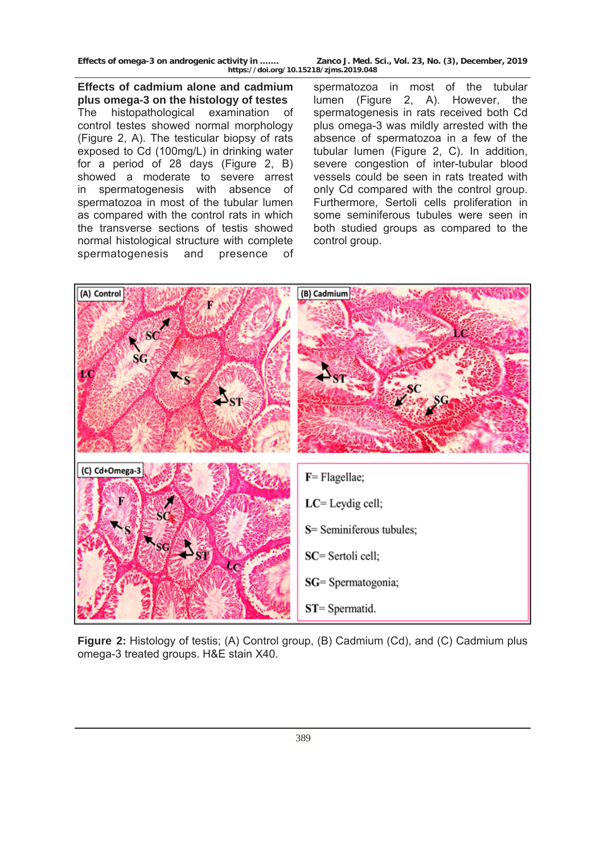**Effects of cadmium alone and cadmium plus omega-3 on the histology of testes**  The histopathological examination of control testes showed normal morphology (Figure 2, A). The testicular biopsy of rats exposed to Cd (100mg/L) in drinking water for a period of 28 days (Figure 2, B) showed a moderate to severe arrest in spermatogenesis with absence of spermatozoa in most of the tubular lumen as compared with the control rats in which the transverse sections of testis showed normal histological structure with complete spermatogenesis and presence of

spermatozoa in most of the tubular lumen (Figure 2, A). However, the spermatogenesis in rats received both Cd plus omega-3 was mildly arrested with the absence of spermatozoa in a few of the tubular lumen (Figure 2, C). In addition, severe congestion of inter-tubular blood vessels could be seen in rats treated with only Cd compared with the control group. Furthermore, Sertoli cells proliferation in some seminiferous tubules were seen in both studied groups as compared to the control group.



**Figure 2:** Histology of testis; (A) Control group, (B) Cadmium (Cd), and (C) Cadmium plus omega-3 treated groups. H&E stain X40.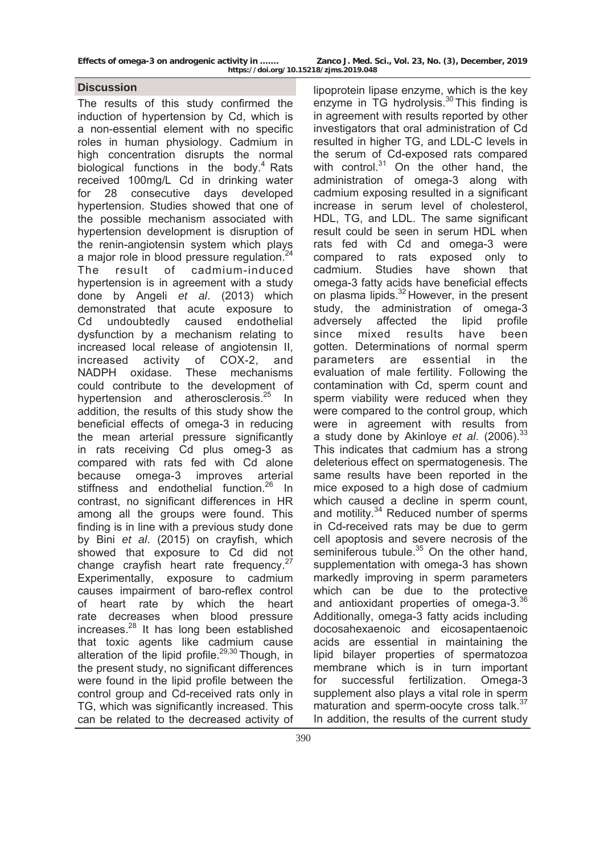### **Discussion**

The results of this study confirmed the induction of hypertension by Cd, which is a non-essential element with no specific roles in human physiology. Cadmium in high concentration disrupts the normal biological functions in the body. $4$  Rats received 100mg/L Cd in drinking water for 28 consecutive days developed hypertension. Studies showed that one of the possible mechanism associated with hypertension development is disruption of the renin-angiotensin system which plays a major role in blood pressure regulation.<sup>24</sup> The result of cadmium-induced hypertension is in agreement with a study done by Angeli *et al*. (2013) which demonstrated that acute exposure to Cd undoubtedly caused endothelial dysfunction by a mechanism relating to increased local release of angiotensin II, increased activity of COX-2, and NADPH oxidase. These mechanisms could contribute to the development of hypertension and atherosclerosis.<sup>25</sup> In addition, the results of this study show the beneficial effects of omega-3 in reducing the mean arterial pressure significantly in rats receiving Cd plus omeg-3 as compared with rats fed with Cd alone because omega-3 improves arterial stiffness and endothelial function.<sup>26</sup> In contrast, no significant differences in HR among all the groups were found. This finding is in line with a previous study done by Bini *et al*. (2015) on crayfish, which showed that exposure to Cd did not change crayfish heart rate frequency.<sup>27</sup> Experimentally, exposure to cadmium causes impairment of baro-reflex control of heart rate by which the heart rate decreases when blood pressure increases.28 It has long been established that toxic agents like cadmium cause alteration of the lipid profile.<sup>29,30</sup> Though, in the present study, no significant differences were found in the lipid profile between the control group and Cd-received rats only in TG, which was significantly increased. This can be related to the decreased activity of

lipoprotein lipase enzyme, which is the key enzyme in TG hydrolysis. $30$  This finding is in agreement with results reported by other investigators that oral administration of Cd resulted in higher TG, and LDL-C levels in the serum of Cd-exposed rats compared with control. $31$  On the other hand, the administration of omega-3 along with cadmium exposing resulted in a significant increase in serum level of cholesterol, HDL, TG, and LDL. The same significant result could be seen in serum HDL when rats fed with Cd and omega-3 were compared to rats exposed only to cadmium. Studies have shown that omega-3 fatty acids have beneficial effects on plasma lipids.<sup>32</sup> However, in the present study, the administration of omega-3 adversely affected the lipid profile since mixed results have been gotten. Determinations of normal sperm parameters are essential in the evaluation of male fertility. Following the contamination with Cd, sperm count and sperm viability were reduced when they were compared to the control group, which were in agreement with results from a study done by Akinloye *et al*. (2006).<sup>33</sup> This indicates that cadmium has a strong deleterious effect on spermatogenesis. The same results have been reported in the mice exposed to a high dose of cadmium which caused a decline in sperm count. and motility. $34$  Reduced number of sperms in Cd-received rats may be due to germ cell apoptosis and severe necrosis of the seminiferous tubule.<sup>35</sup> On the other hand, supplementation with omega-3 has shown markedly improving in sperm parameters which can be due to the protective and antioxidant properties of omega-3.<sup>36</sup> Additionally, omega-3 fatty acids including docosahexaenoic and eicosapentaenoic acids are essential in maintaining the lipid bilayer properties of spermatozoa membrane which is in turn important for successful fertilization. Omega-3 supplement also plays a vital role in sperm maturation and sperm-oocyte cross talk.<sup>37</sup> In addition, the results of the current study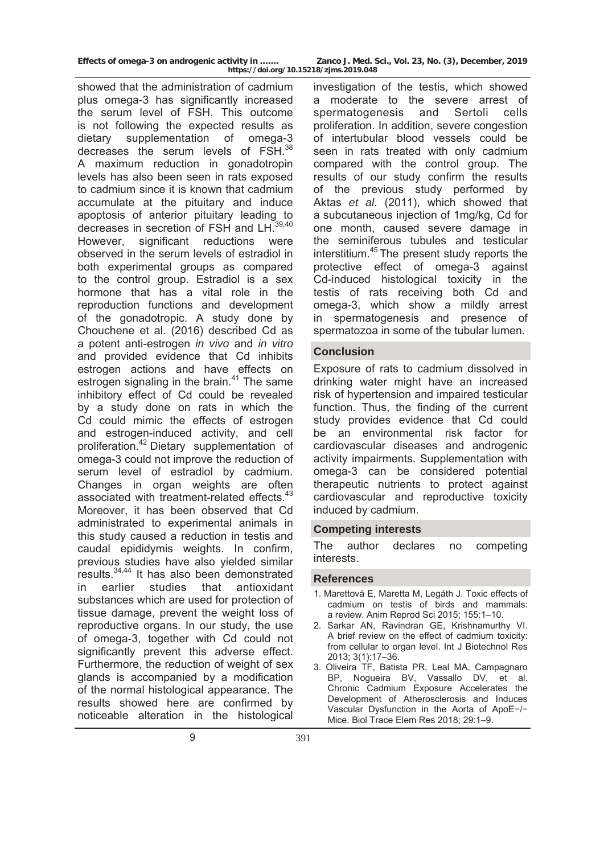showed that the administration of cadmium plus omega-3 has significantly increased the serum level of FSH. This outcome is not following the expected results as dietary supplementation of omega-3 decreases the serum levels of FSH.<sup>38</sup> A maximum reduction in gonadotropin levels has also been seen in rats exposed to cadmium since it is known that cadmium accumulate at the pituitary and induce apoptosis of anterior pituitary leading to decreases in secretion of FSH and  $LH<sub>3</sub>$ However, significant reductions were observed in the serum levels of estradiol in both experimental groups as compared to the control group. Estradiol is a sex hormone that has a vital role in the reproduction functions and development of the gonadotropic. A study done by Chouchene et al. (2016) described Cd as a potent anti-estrogen *in vivo* and *in vitro*  and provided evidence that Cd inhibits estrogen actions and have effects on estrogen signaling in the brain.<sup>41</sup> The same inhibitory effect of Cd could be revealed by a study done on rats in which the Cd could mimic the effects of estrogen and estrogen-induced activity, and cell proliferation.42 Dietary supplementation of omega-3 could not improve the reduction of serum level of estradiol by cadmium. Changes in organ weights are often associated with treatment-related effects.<sup>43</sup> Moreover, it has been observed that Cd administrated to experimental animals in this study caused a reduction in testis and caudal epididymis weights. In confirm, previous studies have also yielded similar results.34,44 It has also been demonstrated in earlier studies that antioxidant substances which are used for protection of tissue damage, prevent the weight loss of reproductive organs. In our study, the use of omega-3, together with Cd could not significantly prevent this adverse effect. Furthermore, the reduction of weight of sex glands is accompanied by a modification of the normal histological appearance. The results showed here are confirmed by noticeable alteration in the histological

investigation of the testis, which showed a moderate to the severe arrest of spermatogenesis and Sertoli cells proliferation. In addition, severe congestion of intertubular blood vessels could be seen in rats treated with only cadmium compared with the control group. The results of our study confirm the results of the previous study performed by Aktas *et al*. (2011), which showed that a subcutaneous injection of 1mg/kg, Cd for one month, caused severe damage in the seminiferous tubules and testicular interstitium.<sup>45</sup> The present study reports the protective effect of omega-3 against Cd-induced histological toxicity in the testis of rats receiving both Cd and omega-3, which show a mildly arrest in spermatogenesis and presence of spermatozoa in some of the tubular lumen.

### **Conclusion**

Exposure of rats to cadmium dissolved in drinking water might have an increased risk of hypertension and impaired testicular function. Thus, the finding of the current study provides evidence that Cd could be an environmental risk factor for cardiovascular diseases and androgenic activity impairments. Supplementation with omega-3 can be considered potential therapeutic nutrients to protect against cardiovascular and reproductive toxicity induced by cadmium.

#### **Competing interests**

The author declares no competing interests.

#### **References**

- 1. Marettová E, Maretta M, Legáth J. Toxic effects of cadmium on testis of birds and mammals: a review. Anim Reprod Sci 2015; 155:1–10.
- 2. Sarkar AN, Ravindran GE, Krishnamurthy VI. A brief review on the effect of cadmium toxicity: from cellular to organ level. Int J Biotechnol Res 2013; 3(1):17–36.
- 3. Oliveira TF, Batista PR, Leal MA, Campagnaro BP, Nogueira BV, Vassallo DV, et al. Chronic Cadmium Exposure Accelerates the Development of Atherosclerosis and Induces Vascular Dysfunction in the Aorta of ApoE−/− Mice. Biol Trace Elem Res 2018; 29:1–9.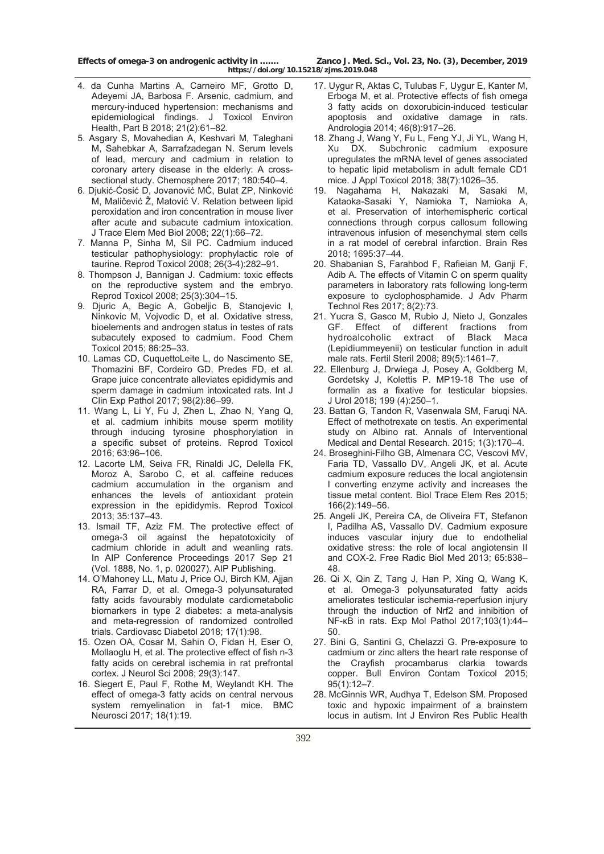- 4. da Cunha Martins A, Carneiro MF, Grotto D, Adeyemi JA, Barbosa F. Arsenic, cadmium, and mercury-induced hypertension: mechanisms and epidemiological findings. J Toxicol Environ Health, Part B 2018; 21(2):61–82.
- 5. Asgary S, Movahedian A, Keshvari M, Taleghani M, Sahebkar A, Sarrafzadegan N. Serum levels of lead, mercury and cadmium in relation to coronary artery disease in the elderly: A crosssectional study. Chemosphere 2017; 180:540–4.
- 6. Djukić-Ćosić D, Jovanović MĆ, Bulat ZP, Ninković M, Maličević Ž, Matović V. Relation between lipid peroxidation and iron concentration in mouse liver after acute and subacute cadmium intoxication. J Trace Elem Med Biol 2008; 22(1):66–72.
- 7. Manna P, Sinha M, Sil PC. Cadmium induced testicular pathophysiology: prophylactic role of taurine. Reprod Toxicol 2008; 26(3-4):282–91.
- 8. Thompson J, Bannigan J. Cadmium: toxic effects on the reproductive system and the embryo. Reprod Toxicol 2008; 25(3):304–15.
- 9. Djuric A, Begic A, Gobeljic B, Stanojevic I, Ninkovic M, Vojvodic D, et al. Oxidative stress, bioelements and androgen status in testes of rats subacutely exposed to cadmium. Food Chem Toxicol 2015; 86:25–33.
- 10. Lamas CD, CuquettoLeite L, do Nascimento SE, Thomazini BF, Cordeiro GD, Predes FD, et al. Grape juice concentrate alleviates epididymis and sperm damage in cadmium intoxicated rats. Int J Clin Exp Pathol 2017; 98(2):86–99.
- 11. Wang L, Li Y, Fu J, Zhen L, Zhao N, Yang Q, et al. cadmium inhibits mouse sperm motility through inducing tyrosine phosphorylation in a specific subset of proteins. Reprod Toxicol 2016; 63:96–106.
- 12. Lacorte LM, Seiva FR, Rinaldi JC, Delella FK, Moroz A, Sarobo C, et al. caffeine reduces cadmium accumulation in the organism and enhances the levels of antioxidant protein expression in the epididymis. Reprod Toxicol 2013; 35:137–43.
- 13. Ismail TF, Aziz FM. The protective effect of omega-3 oil against the hepatotoxicity of cadmium chloride in adult and weanling rats. In AIP Conference Proceedings 2017 Sep 21 (Vol. 1888, No. 1, p. 020027). AIP Publishing.
- 14. O'Mahoney LL, Matu J, Price OJ, Birch KM, Ajjan RA, Farrar D, et al. Omega-3 polyunsaturated fatty acids favourably modulate cardiometabolic biomarkers in type 2 diabetes: a meta-analysis and meta-regression of randomized controlled trials. Cardiovasc Diabetol 2018; 17(1):98.
- 15. Ozen OA, Cosar M, Sahin O, Fidan H, Eser O, Mollaoglu H, et al. The protective effect of fish n-3 fatty acids on cerebral ischemia in rat prefrontal cortex. J Neurol Sci 2008; 29(3):147.
- 16. Siegert E, Paul F, Rothe M, Weylandt KH. The effect of omega-3 fatty acids on central nervous system remyelination in fat-1 mice. BMC Neurosci 2017; 18(1):19.
- 17. Uygur R, Aktas C, Tulubas F, Uygur E, Kanter M, Erboga M, et al. Protective effects of fish omega 3 fatty acids on doxorubicin-induced testicular apoptosis and oxidative damage in rats. Andrologia 2014; 46(8):917–26.
- 18. Zhang J, Wang Y, Fu L, Feng YJ, Ji YL, Wang H, Xu DX. Subchronic cadmium exposure upregulates the mRNA level of genes associated to hepatic lipid metabolism in adult female CD1 mice. J Appl Toxicol 2018; 38(7):1026–35.
- 19. Nagahama H, Nakazaki M, Sasaki M, Kataoka-Sasaki Y, Namioka T, Namioka A, et al. Preservation of interhemispheric cortical connections through corpus callosum following intravenous infusion of mesenchymal stem cells in a rat model of cerebral infarction. Brain Res 2018; 1695:37–44.
- 20. Shabanian S, Farahbod F, Rafieian M, Ganji F, Adib A. The effects of Vitamin C on sperm quality parameters in laboratory rats following long-term exposure to cyclophosphamide. J Adv Pharm Technol Res 2017; 8(2):73.
- 21. Yucra S, Gasco M, Rubio J, Nieto J, Gonzales GF. Effect of different fractions from hydroalcoholic extract of Black Maca (Lepidiummeyenii) on testicular function in adult male rats. Fertil Steril 2008; 89(5):1461–7.
- 22. Ellenburg J, Drwiega J, Posey A, Goldberg M, Gordetsky J, Kolettis P. MP19-18 The use of formalin as a fixative for testicular biopsies. J Urol 2018; 199 (4):250–1.
- 23. Battan G, Tandon R, Vasenwala SM, Faruqi NA. Effect of methotrexate on testis. An experimental study on Albino rat. Annals of Interventional Medical and Dental Research. 2015; 1(3):170–4.
- 24. Broseghini-Filho GB, Almenara CC, Vescovi MV, Faria TD, Vassallo DV, Angeli JK, et al. Acute cadmium exposure reduces the local angiotensin I converting enzyme activity and increases the tissue metal content. Biol Trace Elem Res 2015; 166(2):149–56.
- 25. Angeli JK, Pereira CA, de Oliveira FT, Stefanon I, Padilha AS, Vassallo DV. Cadmium exposure induces vascular injury due to endothelial oxidative stress: the role of local angiotensin II and COX-2. Free Radic Biol Med 2013; 65:838– 48.
- 26. Qi X, Qin Z, Tang J, Han P, Xing Q, Wang K, et al. Omega-3 polyunsaturated fatty acids ameliorates testicular ischemia-reperfusion injury through the induction of Nrf2 and inhibition of NF-κB in rats. Exp Mol Pathol 2017;103(1):44– 50.
- 27. Bini G, Santini G, Chelazzi G. Pre-exposure to cadmium or zinc alters the heart rate response of the Crayfish procambarus clarkia towards copper. Bull Environ Contam Toxicol 2015; 95(1):12–7.
- 28. McGinnis WR, Audhya T, Edelson SM. Proposed toxic and hypoxic impairment of a brainstem locus in autism. Int J Environ Res Public Health